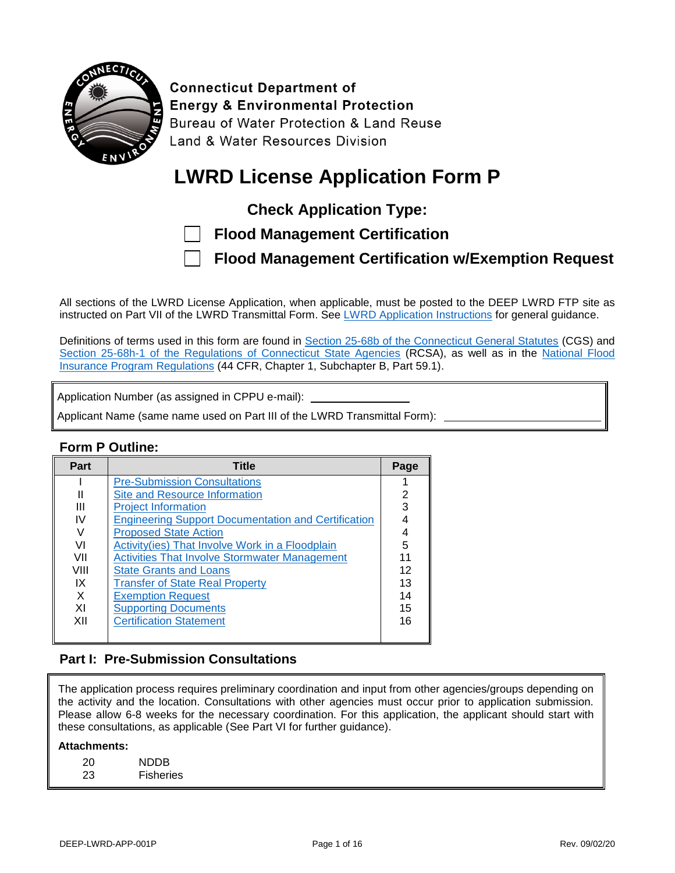

**Connecticut Department of Energy & Environmental Protection** Bureau of Water Protection & Land Reuse Land & Water Resources Division

# **LWRD License Application Form P**

**Check Application Type:**

| <b>Flood Management Certification</b> |  |
|---------------------------------------|--|
|---------------------------------------|--|

**Flood Management Certification w/Exemption Request**

All sections of the LWRD License Application, when applicable, must be posted to the DEEP LWRD FTP site as instructed on Part VII of the LWRD Transmittal Form. See [LWRD Application Instructions](https://portal.ct.gov/-/media/DEEP/Permits_and_Licenses/Land_Use_Permits/LWRD/LWRDinstpdf.pdf?la=en) for general guidance.

Definitions of terms used in this form are found in [Section 25-68b of the Connecticut General Statutes](https://www.cga.ct.gov/current/pub/chap_476a.htm) (CGS) and [Section 25-68h-1 of the Regulations of Connecticut State Agencies](https://eregulations.ct.gov/eRegsPortal/Browse/RCSA/Title_25Subtitle_25-68hSection_25-68h-1/) (RCSA), as well as in the [National Flood](https://www.ct.gov/deep/cwp/view.asp?a=2720&Q=446992&deepNav_GID=1654)  [Insurance Program Regulations](https://www.ct.gov/deep/cwp/view.asp?a=2720&Q=446992&deepNav_GID=1654) (44 CFR, Chapter 1, Subchapter B, Part 59.1).

Application Number (as assigned in CPPU e-mail):

Applicant Name (same name used on Part III of the LWRD Transmittal Form):

#### **Form P Outline:**

| Part | <b>Title</b>                                               | Page |
|------|------------------------------------------------------------|------|
|      | <b>Pre-Submission Consultations</b>                        |      |
|      | <b>Site and Resource Information</b>                       | 2    |
| Ш    | <b>Project Information</b>                                 | 3    |
| ΙV   | <b>Engineering Support Documentation and Certification</b> |      |
|      | <b>Proposed State Action</b>                               |      |
| VI   | Activity(ies) That Involve Work in a Floodplain            | 5    |
| VII  | <b>Activities That Involve Stormwater Management</b>       | 11   |
| VIII | <b>State Grants and Loans</b>                              | 12   |
| IX   | <b>Transfer of State Real Property</b>                     | 13   |
| X    | <b>Exemption Request</b>                                   | 14   |
| ΧI   | <b>Supporting Documents</b>                                | 15   |
| XII  | <b>Certification Statement</b>                             | 16   |
|      |                                                            |      |

#### <span id="page-0-0"></span>**Part I: Pre-Submission Consultations**

The application process requires preliminary coordination and input from other agencies/groups depending on the activity and the location. Consultations with other agencies must occur prior to application submission. Please allow 6-8 weeks for the necessary coordination. For this application, the applicant should start with these consultations, as applicable (See Part VI for further guidance).

#### **Attachments:**

| 20 | <b>NDDB</b>      |
|----|------------------|
| 23 | <b>Fisheries</b> |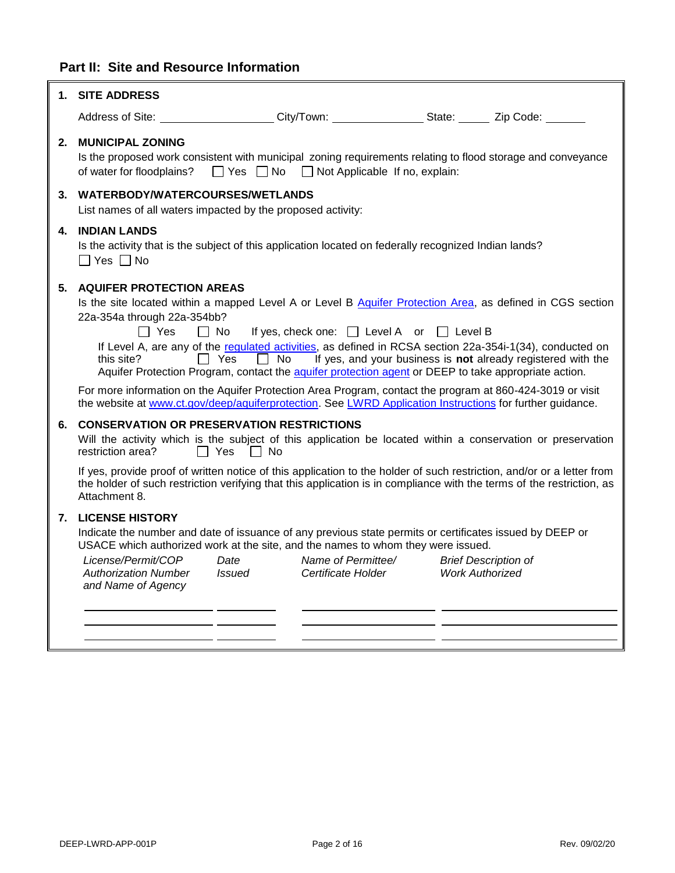### <span id="page-1-0"></span>**Part II: Site and Resource Information**

|    | 1. SITE ADDRESS                                                                                                                                                                                                                                                                                                                                                                                                                     |                               |                                                            |                        |                                                                                                                                                                          |
|----|-------------------------------------------------------------------------------------------------------------------------------------------------------------------------------------------------------------------------------------------------------------------------------------------------------------------------------------------------------------------------------------------------------------------------------------|-------------------------------|------------------------------------------------------------|------------------------|--------------------------------------------------------------------------------------------------------------------------------------------------------------------------|
|    | Address of Site: _____________________City/Town: ___________________State: ________ Zip Code: ______                                                                                                                                                                                                                                                                                                                                |                               |                                                            |                        |                                                                                                                                                                          |
| 2. | <b>MUNICIPAL ZONING</b><br>Is the proposed work consistent with municipal zoning requirements relating to flood storage and conveyance<br>of water for floodplains?                                                                                                                                                                                                                                                                 |                               | $\Box$ Yes $\Box$ No $\Box$ Not Applicable If no, explain: |                        |                                                                                                                                                                          |
|    | 3. WATERBODY/WATERCOURSES/WETLANDS<br>List names of all waters impacted by the proposed activity:                                                                                                                                                                                                                                                                                                                                   |                               |                                                            |                        |                                                                                                                                                                          |
| 4. | <b>INDIAN LANDS</b><br>Is the activity that is the subject of this application located on federally recognized Indian lands?<br>$\Box$ Yes $\Box$ No                                                                                                                                                                                                                                                                                |                               |                                                            |                        |                                                                                                                                                                          |
| 5. | <b>AQUIFER PROTECTION AREAS</b><br>Is the site located within a mapped Level A or Level B Aquifer Protection Area, as defined in CGS section<br>22a-354a through 22a-354bb?<br>$\Box$ Yes<br>this site?<br>Aquifer Protection Program, contact the aquifer protection agent or DEEP to take appropriate action.                                                                                                                     | $\Box$ No<br>Yes<br>$\Box$ No | If yes, check one: $\Box$ Level A or $\Box$ Level B        |                        | If Level A, are any of the regulated activities, as defined in RCSA section 22a-354i-1(34), conducted on<br>If yes, and your business is not already registered with the |
|    | For more information on the Aquifer Protection Area Program, contact the program at 860-424-3019 or visit<br>the website at www.ct.gov/deep/aquiferprotection. See LWRD Application Instructions for further guidance.                                                                                                                                                                                                              |                               |                                                            |                        |                                                                                                                                                                          |
|    | 6. CONSERVATION OR PRESERVATION RESTRICTIONS<br>Will the activity which is the subject of this application be located within a conservation or preservation<br>restriction area?<br>If yes, provide proof of written notice of this application to the holder of such restriction, and/or or a letter from<br>the holder of such restriction verifying that this application is in compliance with the terms of the restriction, as | $\Box$ Yes<br>∣ No            |                                                            |                        |                                                                                                                                                                          |
|    | Attachment 8.                                                                                                                                                                                                                                                                                                                                                                                                                       |                               |                                                            |                        |                                                                                                                                                                          |
|    | <b>7. LICENSE HISTORY</b><br>Indicate the number and date of issuance of any previous state permits or certificates issued by DEEP or<br>USACE which authorized work at the site, and the names to whom they were issued.<br>License/Permit/COP<br><b>Authorization Number</b><br>and Name of Agency                                                                                                                                | Date<br><b>Issued</b>         | Name of Permittee/<br>Certificate Holder                   | <b>Work Authorized</b> | <b>Brief Description of</b>                                                                                                                                              |
|    |                                                                                                                                                                                                                                                                                                                                                                                                                                     |                               |                                                            |                        |                                                                                                                                                                          |

 $\overline{\mathbf{u}}$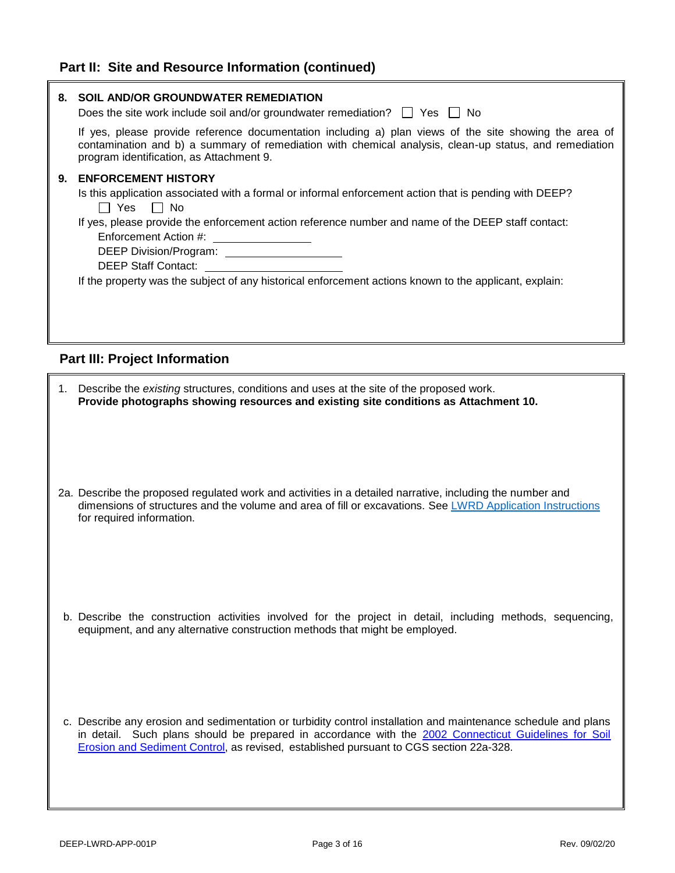#### **Part II: Site and Resource Information (continued)**

<span id="page-2-0"></span>

|    | 8. SOIL AND/OR GROUNDWATER REMEDIATION<br>Does the site work include soil and/or groundwater remediation? $\Box$ Yes $\Box$ No<br>If yes, please provide reference documentation including a) plan views of the site showing the area of<br>contamination and b) a summary of remediation with chemical analysis, clean-up status, and remediation<br>program identification, as Attachment 9.                                                                             |
|----|----------------------------------------------------------------------------------------------------------------------------------------------------------------------------------------------------------------------------------------------------------------------------------------------------------------------------------------------------------------------------------------------------------------------------------------------------------------------------|
| 9. | <b>ENFORCEMENT HISTORY</b><br>Is this application associated with a formal or informal enforcement action that is pending with DEEP?<br>$\Box$ Yes<br>$\Box$ No<br>If yes, please provide the enforcement action reference number and name of the DEEP staff contact:<br>Enforcement Action #: _________________<br>DEEP Division/Program: _____________________<br>If the property was the subject of any historical enforcement actions known to the applicant, explain: |
|    | <b>Part III: Project Information</b>                                                                                                                                                                                                                                                                                                                                                                                                                                       |
|    | 1. Describe the existing structures, conditions and uses at the site of the proposed work.<br>Provide photographs showing resources and existing site conditions as Attachment 10.                                                                                                                                                                                                                                                                                         |
|    | 2a. Describe the proposed regulated work and activities in a detailed narrative, including the number and<br>dimensions of structures and the volume and area of fill or excavations. See LWRD Application Instructions<br>for required information.                                                                                                                                                                                                                       |
|    | b. Describe the construction activities involved for the project in detail, including methods, sequencing,<br>equipment, and any alternative construction methods that might be employed.                                                                                                                                                                                                                                                                                  |
|    | c. Describe any erosion and sedimentation or turbidity control installation and maintenance schedule and plans<br>in detail. Such plans should be prepared in accordance with the 2002 Connecticut Guidelines for Soil                                                                                                                                                                                                                                                     |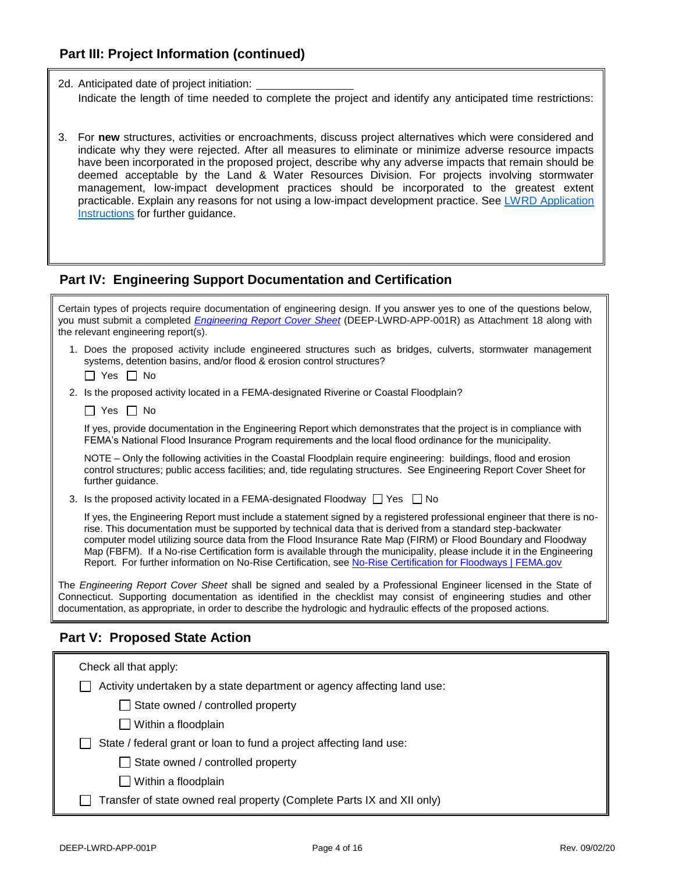2d. Anticipated date of project initiation: Indicate the length of time needed to complete the project and identify any anticipated time restrictions:

3. For **new** structures, activities or encroachments, discuss project alternatives which were considered and indicate why they were rejected. After all measures to eliminate or minimize adverse resource impacts have been incorporated in the proposed project, describe why any adverse impacts that remain should be deemed acceptable by the Land & Water Resources Division. For projects involving stormwater management, low-impact development practices should be incorporated to the greatest extent practicable. Explain any reasons for not using a low-impact development practice. See [LWRD Application](https://portal.ct.gov/-/media/DEEP/Permits_and_Licenses/Land_Use_Permits/LWRD/LWRDinstpdf#Page=5.pdf?la=en) [Instructions](https://portal.ct.gov/-/media/DEEP/Permits_and_Licenses/Land_Use_Permits/LWRD/LWRDinstpdf#Page=5.pdf?la=en) for further guidance.

#### <span id="page-3-0"></span>**Part IV: Engineering Support Documentation and Certification**

<span id="page-3-1"></span>

| Certain types of projects require documentation of engineering design. If you answer yes to one of the questions below,<br>you must submit a completed <i>Engineering Report Cover Sheet</i> (DEEP-LWRD-APP-001R) as Attachment 18 along with<br>the relevant engineering report(s).                                                                                                                                                                                                                                                                                                             |  |  |
|--------------------------------------------------------------------------------------------------------------------------------------------------------------------------------------------------------------------------------------------------------------------------------------------------------------------------------------------------------------------------------------------------------------------------------------------------------------------------------------------------------------------------------------------------------------------------------------------------|--|--|
| 1. Does the proposed activity include engineered structures such as bridges, culverts, stormwater management<br>systems, detention basins, and/or flood & erosion control structures?<br>$\Box$ Yes $\Box$ No                                                                                                                                                                                                                                                                                                                                                                                    |  |  |
| 2. Is the proposed activity located in a FEMA-designated Riverine or Coastal Floodplain?                                                                                                                                                                                                                                                                                                                                                                                                                                                                                                         |  |  |
| Yes    No                                                                                                                                                                                                                                                                                                                                                                                                                                                                                                                                                                                        |  |  |
| If yes, provide documentation in the Engineering Report which demonstrates that the project is in compliance with<br>FEMA's National Flood Insurance Program requirements and the local flood ordinance for the municipality.                                                                                                                                                                                                                                                                                                                                                                    |  |  |
| NOTE – Only the following activities in the Coastal Floodplain require engineering: buildings, flood and erosion<br>control structures; public access facilities; and, tide regulating structures. See Engineering Report Cover Sheet for<br>further guidance.                                                                                                                                                                                                                                                                                                                                   |  |  |
| 3. Is the proposed activity located in a FEMA-designated Floodway $\Box$ Yes $\Box$ No                                                                                                                                                                                                                                                                                                                                                                                                                                                                                                           |  |  |
| If yes, the Engineering Report must include a statement signed by a registered professional engineer that there is no-<br>rise. This documentation must be supported by technical data that is derived from a standard step-backwater<br>computer model utilizing source data from the Flood Insurance Rate Map (FIRM) or Flood Boundary and Floodway<br>Map (FBFM). If a No-rise Certification form is available through the municipality, please include it in the Engineering<br>Report. For further information on No-Rise Certification, see No-Rise Certification for Floodways   FEMA.gov |  |  |
| The Engineering Report Cover Sheet shall be signed and sealed by a Professional Engineer licensed in the State of<br>Connecticut. Supporting documentation as identified in the checklist may consist of engineering studies and other<br>documentation, as appropriate, in order to describe the hydrologic and hydraulic effects of the proposed actions.                                                                                                                                                                                                                                      |  |  |
| <b>Part V: Proposed State Action</b>                                                                                                                                                                                                                                                                                                                                                                                                                                                                                                                                                             |  |  |
| Check all that apply:                                                                                                                                                                                                                                                                                                                                                                                                                                                                                                                                                                            |  |  |
| Activity undertaken by a state department or agency affecting land use:                                                                                                                                                                                                                                                                                                                                                                                                                                                                                                                          |  |  |
| State owned / controlled property                                                                                                                                                                                                                                                                                                                                                                                                                                                                                                                                                                |  |  |
| $\Box$ Within a floodplain                                                                                                                                                                                                                                                                                                                                                                                                                                                                                                                                                                       |  |  |
| State / federal grant or loan to fund a project affecting land use:                                                                                                                                                                                                                                                                                                                                                                                                                                                                                                                              |  |  |
| State owned / controlled property                                                                                                                                                                                                                                                                                                                                                                                                                                                                                                                                                                |  |  |
| Within a floodplain                                                                                                                                                                                                                                                                                                                                                                                                                                                                                                                                                                              |  |  |
| Transfer of state owned real property (Complete Parts IX and XII only)                                                                                                                                                                                                                                                                                                                                                                                                                                                                                                                           |  |  |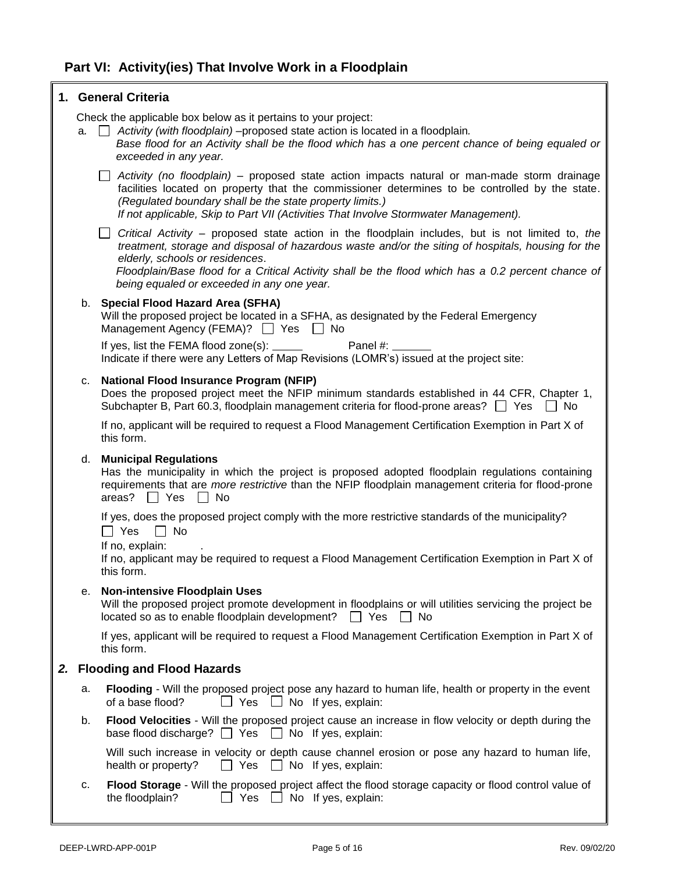<span id="page-4-0"></span>

|    |    | 1. General Criteria                                                                                                                                                                                                                                                                                                                                                                                  |
|----|----|------------------------------------------------------------------------------------------------------------------------------------------------------------------------------------------------------------------------------------------------------------------------------------------------------------------------------------------------------------------------------------------------------|
|    |    | Check the applicable box below as it pertains to your project:<br>$a.$ $\Box$ Activity (with floodplain) –proposed state action is located in a floodplain.<br>Base flood for an Activity shall be the flood which has a one percent chance of being equaled or<br>exceeded in any year.                                                                                                             |
|    |    | $\Box$ Activity (no floodplain) – proposed state action impacts natural or man-made storm drainage<br>facilities located on property that the commissioner determines to be controlled by the state.<br>(Regulated boundary shall be the state property limits.)<br>If not applicable, Skip to Part VII (Activities That Involve Stormwater Management).                                             |
|    |    | $\Box$ Critical Activity – proposed state action in the floodplain includes, but is not limited to, the<br>treatment, storage and disposal of hazardous waste and/or the siting of hospitals, housing for the<br>elderly, schools or residences.<br>Floodplain/Base flood for a Critical Activity shall be the flood which has a 0.2 percent chance of<br>being equaled or exceeded in any one year. |
|    |    | b. Special Flood Hazard Area (SFHA)<br>Will the proposed project be located in a SFHA, as designated by the Federal Emergency<br>Management Agency (FEMA)? □ Yes □ No<br>Panel #: ______                                                                                                                                                                                                             |
|    |    | If yes, list the FEMA flood zone(s): _____<br>Indicate if there were any Letters of Map Revisions (LOMR's) issued at the project site:                                                                                                                                                                                                                                                               |
|    | с. | <b>National Flood Insurance Program (NFIP)</b><br>Does the proposed project meet the NFIP minimum standards established in 44 CFR, Chapter 1,<br>Subchapter B, Part 60.3, floodplain management criteria for flood-prone areas? $\Box$ Yes $\Box$ No                                                                                                                                                 |
|    |    | If no, applicant will be required to request a Flood Management Certification Exemption in Part X of<br>this form.                                                                                                                                                                                                                                                                                   |
|    | d. | <b>Municipal Regulations</b><br>Has the municipality in which the project is proposed adopted floodplain regulations containing<br>requirements that are more restrictive than the NFIP floodplain management criteria for flood-prone<br>areas? $\Box$ Yes $\Box$ No                                                                                                                                |
|    |    | If yes, does the proposed project comply with the more restrictive standards of the municipality?<br>$\Box$ No<br>$\Box$ Yes<br>If no, explain:<br>If no, applicant may be required to request a Flood Management Certification Exemption in Part X of<br>this form.                                                                                                                                 |
|    | е. | <b>Non-intensive Floodplain Uses</b><br>Will the proposed project promote development in floodplains or will utilities servicing the project be<br>located so as to enable floodplain development?<br>$\Box$ Yes<br>∐ No                                                                                                                                                                             |
|    |    | If yes, applicant will be required to request a Flood Management Certification Exemption in Part X of<br>this form.                                                                                                                                                                                                                                                                                  |
| 2. |    | <b>Flooding and Flood Hazards</b>                                                                                                                                                                                                                                                                                                                                                                    |
|    | a. | Flooding - Will the proposed project pose any hazard to human life, health or property in the event<br>of a base flood?<br>」Yes<br>$\Box$ No If yes, explain:                                                                                                                                                                                                                                        |
|    | b. | Flood Velocities - Will the proposed project cause an increase in flow velocity or depth during the<br>base flood discharge? $\Box$ Yes $\Box$ No If yes, explain:                                                                                                                                                                                                                                   |
|    |    | Will such increase in velocity or depth cause channel erosion or pose any hazard to human life,<br>Yes<br>health or property?<br>$\Box$ No If yes, explain:                                                                                                                                                                                                                                          |
|    | c. | Flood Storage - Will the proposed project affect the flood storage capacity or flood control value of<br>the floodplain?<br>Yes<br>No If yes, explain:                                                                                                                                                                                                                                               |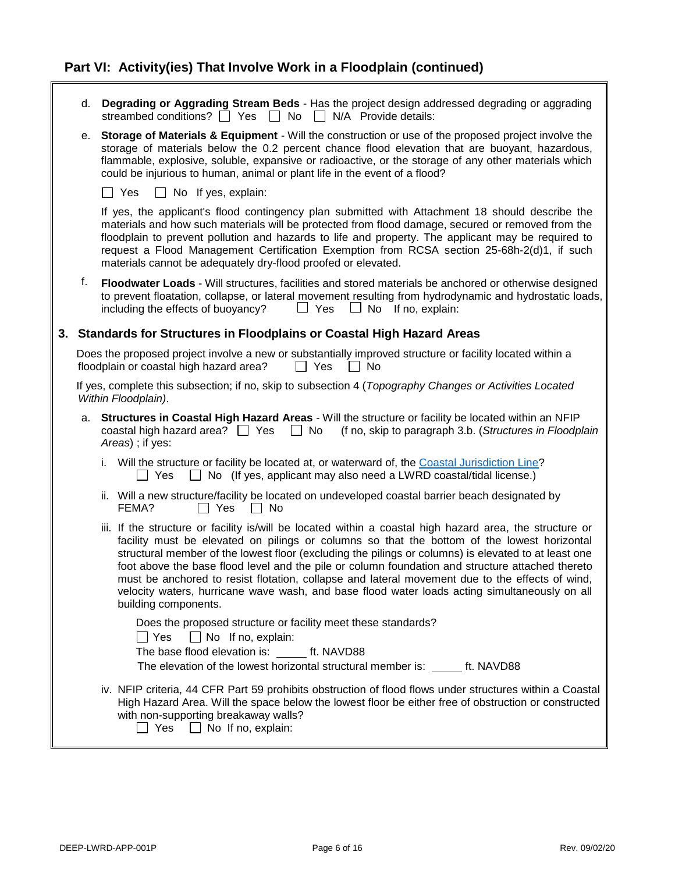|    | d. | Degrading or Aggrading Stream Beds - Has the project design addressed degrading or aggrading<br>streambed conditions? $\Box$ Yes $\Box$ No $\Box$ N/A Provide details:                                                                                                                                                                                                                                                                                                                                                                                                                                                                          |
|----|----|-------------------------------------------------------------------------------------------------------------------------------------------------------------------------------------------------------------------------------------------------------------------------------------------------------------------------------------------------------------------------------------------------------------------------------------------------------------------------------------------------------------------------------------------------------------------------------------------------------------------------------------------------|
|    | е. | Storage of Materials & Equipment - Will the construction or use of the proposed project involve the<br>storage of materials below the 0.2 percent chance flood elevation that are buoyant, hazardous,<br>flammable, explosive, soluble, expansive or radioactive, or the storage of any other materials which<br>could be injurious to human, animal or plant life in the event of a flood?                                                                                                                                                                                                                                                     |
|    |    | $\Box$ Yes<br>$\Box$ No If yes, explain:                                                                                                                                                                                                                                                                                                                                                                                                                                                                                                                                                                                                        |
|    |    | If yes, the applicant's flood contingency plan submitted with Attachment 18 should describe the<br>materials and how such materials will be protected from flood damage, secured or removed from the<br>floodplain to prevent pollution and hazards to life and property. The applicant may be required to<br>request a Flood Management Certification Exemption from RCSA section 25-68h-2(d)1, if such<br>materials cannot be adequately dry-flood proofed or elevated.                                                                                                                                                                       |
|    | f. | Floodwater Loads - Will structures, facilities and stored materials be anchored or otherwise designed<br>to prevent floatation, collapse, or lateral movement resulting from hydrodynamic and hydrostatic loads,<br>including the effects of buoyancy?<br>$\Box$ Yes<br>$\Box$ No If no, explain:                                                                                                                                                                                                                                                                                                                                               |
| 3. |    | Standards for Structures in Floodplains or Coastal High Hazard Areas                                                                                                                                                                                                                                                                                                                                                                                                                                                                                                                                                                            |
|    |    | Does the proposed project involve a new or substantially improved structure or facility located within a<br>floodplain or coastal high hazard area?<br>    Yes<br>$\Box$ No                                                                                                                                                                                                                                                                                                                                                                                                                                                                     |
|    |    | If yes, complete this subsection; if no, skip to subsection 4 (Topography Changes or Activities Located<br>Within Floodplain).                                                                                                                                                                                                                                                                                                                                                                                                                                                                                                                  |
|    | a. | Structures in Coastal High Hazard Areas - Will the structure or facility be located within an NFIP<br>coastal high hazard area? $\Box$ Yes $\Box$ No<br>(f no, skip to paragraph 3.b. (Structures in Floodplain<br>Areas) ; if yes:                                                                                                                                                                                                                                                                                                                                                                                                             |
|    |    | i. Will the structure or facility be located at, or waterward of, the Coastal Jurisdiction Line?<br>$\Box$ No (If yes, applicant may also need a LWRD coastal/tidal license.)<br>Yes<br>$\blacksquare$                                                                                                                                                                                                                                                                                                                                                                                                                                          |
|    |    | ii. Will a new structure/facility be located on undeveloped coastal barrier beach designated by<br>FEMA?<br>$\Box$ Yes<br>No<br>$\mathbf{1}$                                                                                                                                                                                                                                                                                                                                                                                                                                                                                                    |
|    |    | iii. If the structure or facility is/will be located within a coastal high hazard area, the structure or<br>facility must be elevated on pilings or columns so that the bottom of the lowest horizontal<br>structural member of the lowest floor (excluding the pilings or columns) is elevated to at least one<br>foot above the base flood level and the pile or column foundation and structure attached thereto<br>must be anchored to resist flotation, collapse and lateral movement due to the effects of wind,<br>velocity waters, hurricane wave wash, and base flood water loads acting simultaneously on all<br>building components. |
|    |    | Does the proposed structure or facility meet these standards?<br>$\Box$ Yes<br>$\Box$ No If no, explain:<br>The base flood elevation is: ft. NAVD88<br>The elevation of the lowest horizontal structural member is: ______ ft. NAVD88                                                                                                                                                                                                                                                                                                                                                                                                           |
|    |    | iv. NFIP criteria, 44 CFR Part 59 prohibits obstruction of flood flows under structures within a Coastal<br>High Hazard Area. Will the space below the lowest floor be either free of obstruction or constructed<br>with non-supporting breakaway walls?<br>$\Box$ Yes $\Box$ No If no, explain:                                                                                                                                                                                                                                                                                                                                                |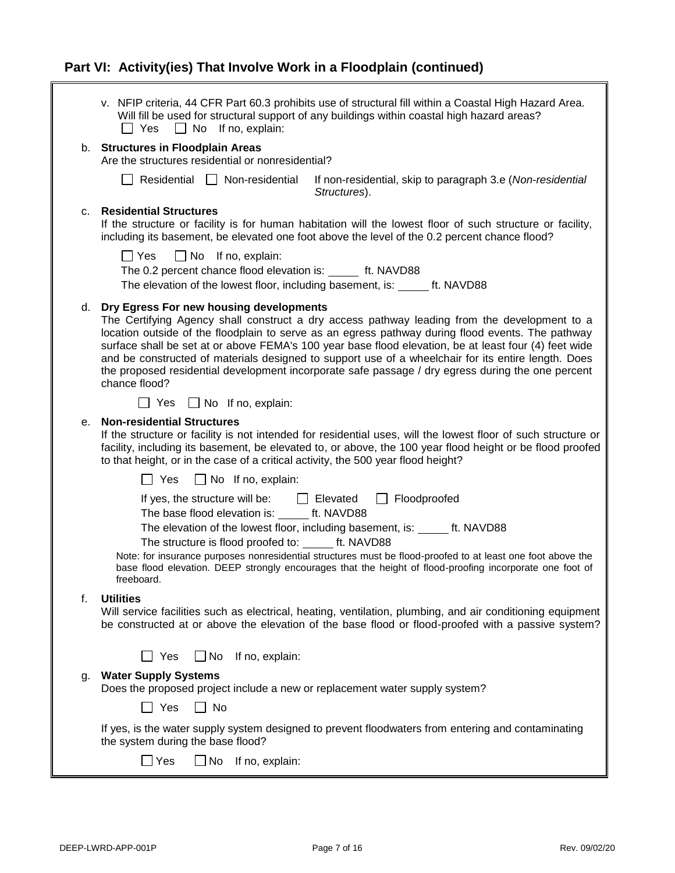|    | v. NFIP criteria, 44 CFR Part 60.3 prohibits use of structural fill within a Coastal High Hazard Area.<br>Will fill be used for structural support of any buildings within coastal high hazard areas?<br>$\Box$ No If no, explain:<br>$\Box$ Yes                                                                                                                                                                                                                                                                                                                                   |
|----|------------------------------------------------------------------------------------------------------------------------------------------------------------------------------------------------------------------------------------------------------------------------------------------------------------------------------------------------------------------------------------------------------------------------------------------------------------------------------------------------------------------------------------------------------------------------------------|
|    | b. Structures in Floodplain Areas<br>Are the structures residential or nonresidential?                                                                                                                                                                                                                                                                                                                                                                                                                                                                                             |
|    | $\Box$ Residential $\Box$ Non-residential<br>If non-residential, skip to paragraph 3.e (Non-residential<br>Structures).                                                                                                                                                                                                                                                                                                                                                                                                                                                            |
| c. | <b>Residential Structures</b><br>If the structure or facility is for human habitation will the lowest floor of such structure or facility,<br>including its basement, be elevated one foot above the level of the 0.2 percent chance flood?                                                                                                                                                                                                                                                                                                                                        |
|    | $\Box$ Yes<br>$\Box$ No If no, explain:<br>The 0.2 percent chance flood elevation is: ______ ft. NAVD88<br>The elevation of the lowest floor, including basement, is: ______ ft. NAVD88                                                                                                                                                                                                                                                                                                                                                                                            |
|    |                                                                                                                                                                                                                                                                                                                                                                                                                                                                                                                                                                                    |
| d. | Dry Egress For new housing developments<br>The Certifying Agency shall construct a dry access pathway leading from the development to a<br>location outside of the floodplain to serve as an egress pathway during flood events. The pathway<br>surface shall be set at or above FEMA's 100 year base flood elevation, be at least four (4) feet wide<br>and be constructed of materials designed to support use of a wheelchair for its entire length. Does<br>the proposed residential development incorporate safe passage / dry egress during the one percent<br>chance flood? |
|    | $\Box$ Yes $\Box$ No If no, explain:                                                                                                                                                                                                                                                                                                                                                                                                                                                                                                                                               |
| е. | <b>Non-residential Structures</b><br>If the structure or facility is not intended for residential uses, will the lowest floor of such structure or<br>facility, including its basement, be elevated to, or above, the 100 year flood height or be flood proofed<br>to that height, or in the case of a critical activity, the 500 year flood height?                                                                                                                                                                                                                               |
|    | ヿ Yes<br>$\Box$ No If no, explain:                                                                                                                                                                                                                                                                                                                                                                                                                                                                                                                                                 |
|    | $\Box$ Floodproofed<br>If yes, the structure will be:<br>$\Box$ Elevated<br>The base flood elevation is: ft. NAVD88                                                                                                                                                                                                                                                                                                                                                                                                                                                                |
|    | The elevation of the lowest floor, including basement, is: ______ ft. NAVD88                                                                                                                                                                                                                                                                                                                                                                                                                                                                                                       |
|    | The structure is flood proofed to: ______ ft. NAVD88<br>Note: for insurance purposes nonresidential structures must be flood-proofed to at least one foot above the<br>base flood elevation. DEEP strongly encourages that the height of flood-proofing incorporate one foot of<br>freeboard.                                                                                                                                                                                                                                                                                      |
| f. | <b>Utilities</b><br>Will service facilities such as electrical, heating, ventilation, plumbing, and air conditioning equipment<br>be constructed at or above the elevation of the base flood or flood-proofed with a passive system?                                                                                                                                                                                                                                                                                                                                               |
|    | $\Box$ No If no, explain:<br>$\Box$ Yes                                                                                                                                                                                                                                                                                                                                                                                                                                                                                                                                            |
| g. | <b>Water Supply Systems</b><br>Does the proposed project include a new or replacement water supply system?                                                                                                                                                                                                                                                                                                                                                                                                                                                                         |
|    | Yes<br>$\Box$ No                                                                                                                                                                                                                                                                                                                                                                                                                                                                                                                                                                   |
|    | If yes, is the water supply system designed to prevent floodwaters from entering and contaminating<br>the system during the base flood?                                                                                                                                                                                                                                                                                                                                                                                                                                            |
|    | $\Box$ Yes<br>$\Box$ No If no, explain:                                                                                                                                                                                                                                                                                                                                                                                                                                                                                                                                            |
|    |                                                                                                                                                                                                                                                                                                                                                                                                                                                                                                                                                                                    |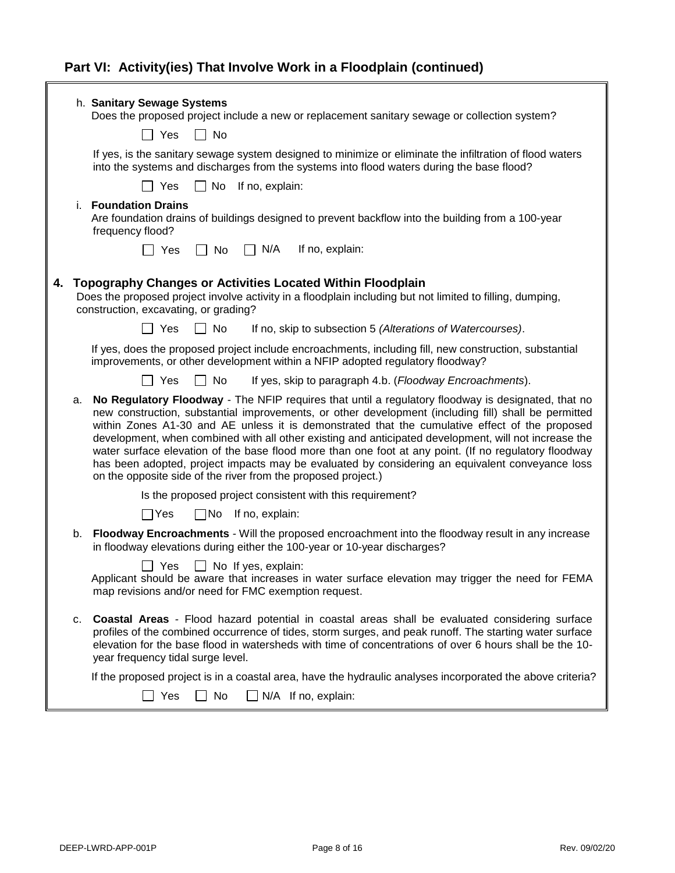|    | h. Sanitary Sewage Systems<br>Does the proposed project include a new or replacement sanitary sewage or collection system?                                                                                                                                                                                                                                                                                                                                                                                                                                                                                                                                                                         |
|----|----------------------------------------------------------------------------------------------------------------------------------------------------------------------------------------------------------------------------------------------------------------------------------------------------------------------------------------------------------------------------------------------------------------------------------------------------------------------------------------------------------------------------------------------------------------------------------------------------------------------------------------------------------------------------------------------------|
|    | Yes<br>$\Box$ No                                                                                                                                                                                                                                                                                                                                                                                                                                                                                                                                                                                                                                                                                   |
|    | If yes, is the sanitary sewage system designed to minimize or eliminate the infiltration of flood waters<br>into the systems and discharges from the systems into flood waters during the base flood?                                                                                                                                                                                                                                                                                                                                                                                                                                                                                              |
|    | Yes<br>$\Box$ No<br>If no, explain:                                                                                                                                                                                                                                                                                                                                                                                                                                                                                                                                                                                                                                                                |
|    | i. Foundation Drains<br>Are foundation drains of buildings designed to prevent backflow into the building from a 100-year<br>frequency flood?                                                                                                                                                                                                                                                                                                                                                                                                                                                                                                                                                      |
|    | $\Box$ N/A<br>If no, explain:<br>$\Box$ No<br>∏ Yes                                                                                                                                                                                                                                                                                                                                                                                                                                                                                                                                                                                                                                                |
|    | 4. Topography Changes or Activities Located Within Floodplain<br>Does the proposed project involve activity in a floodplain including but not limited to filling, dumping,<br>construction, excavating, or grading?                                                                                                                                                                                                                                                                                                                                                                                                                                                                                |
|    | l I Yes<br>    No<br>If no, skip to subsection 5 (Alterations of Watercourses).                                                                                                                                                                                                                                                                                                                                                                                                                                                                                                                                                                                                                    |
|    | If yes, does the proposed project include encroachments, including fill, new construction, substantial<br>improvements, or other development within a NFIP adopted regulatory floodway?                                                                                                                                                                                                                                                                                                                                                                                                                                                                                                            |
|    | <b>□ Yes</b><br>$\Box$ No<br>If yes, skip to paragraph 4.b. (Floodway Encroachments).                                                                                                                                                                                                                                                                                                                                                                                                                                                                                                                                                                                                              |
| а. | No Regulatory Floodway - The NFIP requires that until a regulatory floodway is designated, that no<br>new construction, substantial improvements, or other development (including fill) shall be permitted<br>within Zones A1-30 and AE unless it is demonstrated that the cumulative effect of the proposed<br>development, when combined with all other existing and anticipated development, will not increase the<br>water surface elevation of the base flood more than one foot at any point. (If no regulatory floodway<br>has been adopted, project impacts may be evaluated by considering an equivalent conveyance loss<br>on the opposite side of the river from the proposed project.) |
|    | Is the proposed project consistent with this requirement?                                                                                                                                                                                                                                                                                                                                                                                                                                                                                                                                                                                                                                          |
|    | $\square$ No<br>If no, explain:<br>$\Box$ Yes                                                                                                                                                                                                                                                                                                                                                                                                                                                                                                                                                                                                                                                      |
| b. | Floodway Encroachments - Will the proposed encroachment into the floodway result in any increase<br>in floodway elevations during either the 100-year or 10-year discharges?                                                                                                                                                                                                                                                                                                                                                                                                                                                                                                                       |
|    | Yes<br>No If yes, explain:<br>Applicant should be aware that increases in water surface elevation may trigger the need for FEMA<br>map revisions and/or need for FMC exemption request.                                                                                                                                                                                                                                                                                                                                                                                                                                                                                                            |
| C. | <b>Coastal Areas</b> - Flood hazard potential in coastal areas shall be evaluated considering surface<br>profiles of the combined occurrence of tides, storm surges, and peak runoff. The starting water surface<br>elevation for the base flood in watersheds with time of concentrations of over 6 hours shall be the 10-<br>year frequency tidal surge level.                                                                                                                                                                                                                                                                                                                                   |
|    | If the proposed project is in a coastal area, have the hydraulic analyses incorporated the above criteria?                                                                                                                                                                                                                                                                                                                                                                                                                                                                                                                                                                                         |
|    | Yes<br>No<br>$\Box$ N/A If no, explain:                                                                                                                                                                                                                                                                                                                                                                                                                                                                                                                                                                                                                                                            |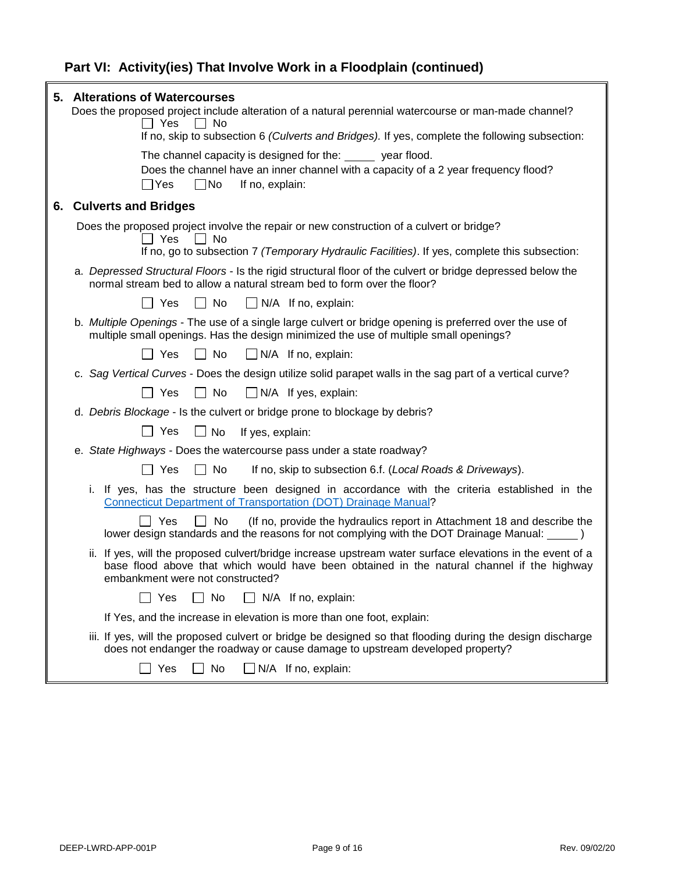|    | 5. Alterations of Watercourses<br>Does the proposed project include alteration of a natural perennial watercourse or man-made channel?<br>Yes<br>No<br>If no, skip to subsection 6 (Culverts and Bridges). If yes, complete the following subsection: |
|----|-------------------------------------------------------------------------------------------------------------------------------------------------------------------------------------------------------------------------------------------------------|
|    |                                                                                                                                                                                                                                                       |
|    | The channel capacity is designed for the: wear flood.<br>Does the channel have an inner channel with a capacity of a 2 year frequency flood?<br>]No<br>$\Box$ Yes<br>If no, explain:                                                                  |
| 6. | <b>Culverts and Bridges</b>                                                                                                                                                                                                                           |
|    | Does the proposed project involve the repair or new construction of a culvert or bridge?<br>Yes<br>No.                                                                                                                                                |
|    | If no, go to subsection 7 (Temporary Hydraulic Facilities). If yes, complete this subsection:                                                                                                                                                         |
|    | a. Depressed Structural Floors - Is the rigid structural floor of the culvert or bridge depressed below the<br>normal stream bed to allow a natural stream bed to form over the floor?                                                                |
|    | Yes<br>$\Box$ No<br>$\Box$ N/A If no, explain:<br>$\Box$                                                                                                                                                                                              |
|    | b. Multiple Openings - The use of a single large culvert or bridge opening is preferred over the use of<br>multiple small openings. Has the design minimized the use of multiple small openings?                                                      |
|    | $\Box$ N/A If no, explain:<br>Yes<br>No                                                                                                                                                                                                               |
|    | c. Sag Vertical Curves - Does the design utilize solid parapet walls in the sag part of a vertical curve?                                                                                                                                             |
|    | No<br>$\Box$ Yes<br>$\Box$ N/A If yes, explain:<br>$\Box$                                                                                                                                                                                             |
|    | d. Debris Blockage - Is the culvert or bridge prone to blockage by debris?                                                                                                                                                                            |
|    | $\Box$ Yes<br>$\Box$ No<br>If yes, explain:                                                                                                                                                                                                           |
|    | e. State Highways - Does the watercourse pass under a state roadway?                                                                                                                                                                                  |
|    | Yes<br>No<br>If no, skip to subsection 6.f. (Local Roads & Driveways).<br>$\mathsf{L}$                                                                                                                                                                |
|    | i. If yes, has the structure been designed in accordance with the criteria established in the<br><b>Connecticut Department of Transportation (DOT) Drainage Manual?</b>                                                                               |
|    | Yes<br>No<br>(If no, provide the hydraulics report in Attachment 18 and describe the<br>lower design standards and the reasons for not complying with the DOT Drainage Manual: ______ )                                                               |
|    | ii. If yes, will the proposed culvert/bridge increase upstream water surface elevations in the event of a<br>base flood above that which would have been obtained in the natural channel if the highway<br>embankment were not constructed?           |
|    | No<br>$\Box$ N/A If no, explain:<br>Yes                                                                                                                                                                                                               |
|    | If Yes, and the increase in elevation is more than one foot, explain:                                                                                                                                                                                 |
|    | iii. If yes, will the proposed culvert or bridge be designed so that flooding during the design discharge<br>does not endanger the roadway or cause damage to upstream developed property?                                                            |
|    | Yes<br>$\Box$ No<br>$\Box$ N/A If no, explain:                                                                                                                                                                                                        |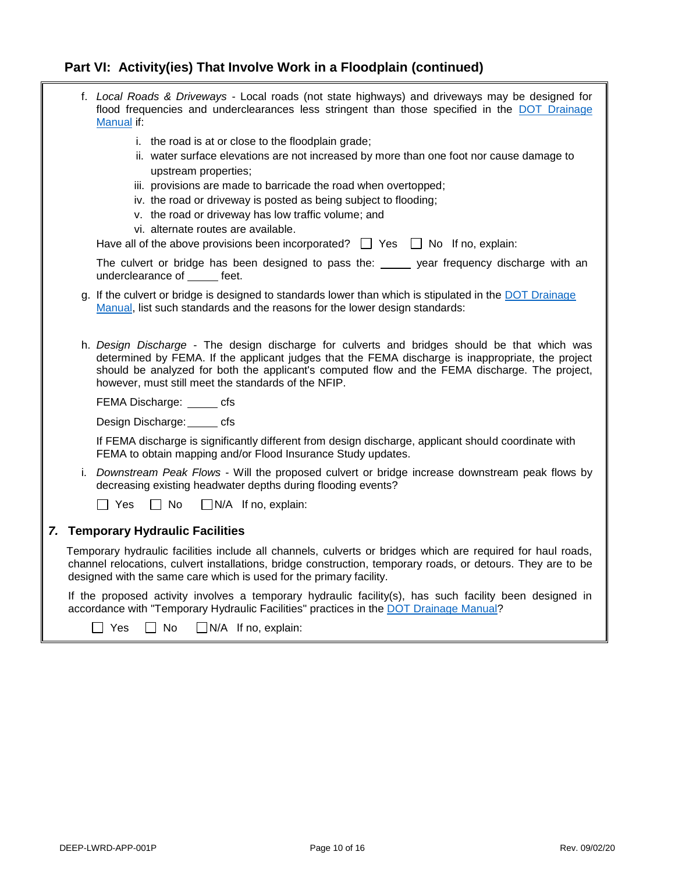|  | f. Local Roads & Driveways - Local roads (not state highways) and driveways may be designed for<br>flood frequencies and underclearances less stringent than those specified in the DOT Drainage<br>Manual if:                                                                                                                                             |
|--|------------------------------------------------------------------------------------------------------------------------------------------------------------------------------------------------------------------------------------------------------------------------------------------------------------------------------------------------------------|
|  | i. the road is at or close to the floodplain grade;<br>ii. water surface elevations are not increased by more than one foot nor cause damage to<br>upstream properties;                                                                                                                                                                                    |
|  | iii. provisions are made to barricade the road when overtopped;<br>iv. the road or driveway is posted as being subject to flooding;<br>v. the road or driveway has low traffic volume; and<br>vi. alternate routes are available.                                                                                                                          |
|  | Have all of the above provisions been incorporated? $\Box$ Yes $\Box$ No If no, explain:                                                                                                                                                                                                                                                                   |
|  | The culvert or bridge has been designed to pass the: ______ year frequency discharge with an<br>underclearance of feet.                                                                                                                                                                                                                                    |
|  | g. If the culvert or bridge is designed to standards lower than which is stipulated in the DOT Drainage<br>Manual, list such standards and the reasons for the lower design standards:                                                                                                                                                                     |
|  | h. Design Discharge - The design discharge for culverts and bridges should be that which was<br>determined by FEMA. If the applicant judges that the FEMA discharge is inappropriate, the project<br>should be analyzed for both the applicant's computed flow and the FEMA discharge. The project,<br>however, must still meet the standards of the NFIP. |
|  | FEMA Discharge: _______ cfs                                                                                                                                                                                                                                                                                                                                |
|  | Design Discharge: cfs                                                                                                                                                                                                                                                                                                                                      |
|  | If FEMA discharge is significantly different from design discharge, applicant should coordinate with<br>FEMA to obtain mapping and/or Flood Insurance Study updates.                                                                                                                                                                                       |
|  | i. Downstream Peak Flows - Will the proposed culvert or bridge increase downstream peak flows by<br>decreasing existing headwater depths during flooding events?                                                                                                                                                                                           |
|  | Yes<br>$\Box$ No<br>$\Box$ N/A If no, explain:                                                                                                                                                                                                                                                                                                             |
|  | 7. Temporary Hydraulic Facilities                                                                                                                                                                                                                                                                                                                          |
|  | Temporary hydraulic facilities include all channels, culverts or bridges which are required for haul roads,<br>channel relocations, culvert installations, bridge construction, temporary roads, or detours. They are to be<br>designed with the same care which is used for the primary facility.                                                         |
|  | If the proposed activity involves a temporary hydraulic facility(s), has such facility been designed in<br>accordance with "Temporary Hydraulic Facilities" practices in the DOT Drainage Manual?                                                                                                                                                          |
|  | Yes<br>No<br>$\Box$ N/A If no, explain:                                                                                                                                                                                                                                                                                                                    |

H.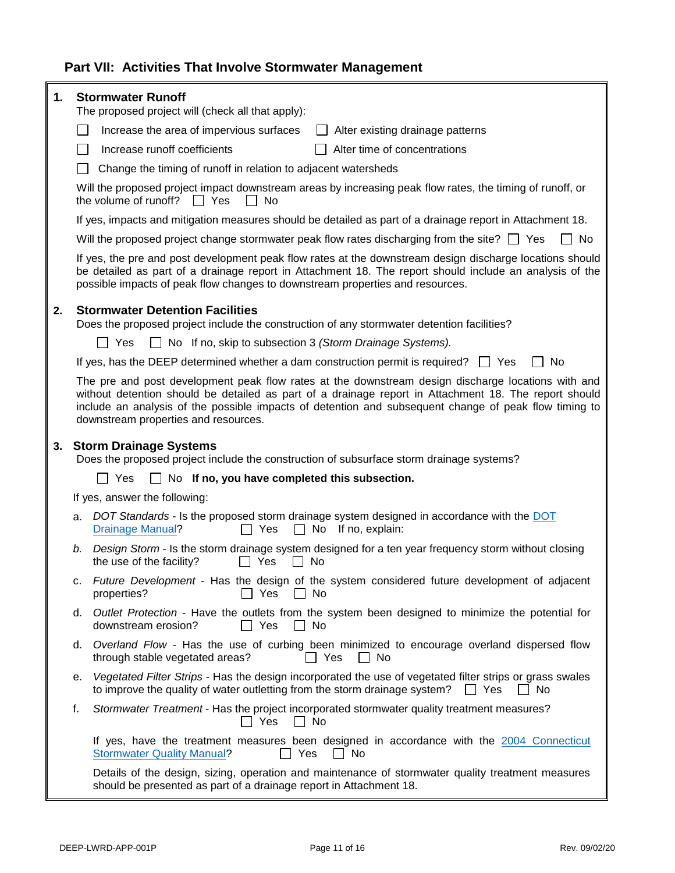### <span id="page-10-0"></span>**Part VII: Activities That Involve Stormwater Management**

| 1. | <b>Stormwater Runoff</b><br>The proposed project will (check all that apply):                                                                                                                                                                                                                        |                                                                                                                                                                                                                                                                                                                                                              |  |
|----|------------------------------------------------------------------------------------------------------------------------------------------------------------------------------------------------------------------------------------------------------------------------------------------------------|--------------------------------------------------------------------------------------------------------------------------------------------------------------------------------------------------------------------------------------------------------------------------------------------------------------------------------------------------------------|--|
|    | $\mathsf{L}$                                                                                                                                                                                                                                                                                         | Increase the area of impervious surfaces<br>Alter existing drainage patterns                                                                                                                                                                                                                                                                                 |  |
|    | $\mathbf{I}$                                                                                                                                                                                                                                                                                         | Increase runoff coefficients<br>Alter time of concentrations                                                                                                                                                                                                                                                                                                 |  |
|    |                                                                                                                                                                                                                                                                                                      | Change the timing of runoff in relation to adjacent watersheds                                                                                                                                                                                                                                                                                               |  |
|    |                                                                                                                                                                                                                                                                                                      | Will the proposed project impact downstream areas by increasing peak flow rates, the timing of runoff, or<br>$\Box$ Yes<br>the volume of runoff?<br><b>No</b>                                                                                                                                                                                                |  |
|    |                                                                                                                                                                                                                                                                                                      | If yes, impacts and mitigation measures should be detailed as part of a drainage report in Attachment 18.                                                                                                                                                                                                                                                    |  |
|    |                                                                                                                                                                                                                                                                                                      | Will the proposed project change stormwater peak flow rates discharging from the site? $\Box$ Yes<br>No.                                                                                                                                                                                                                                                     |  |
|    | If yes, the pre and post development peak flow rates at the downstream design discharge locations should<br>be detailed as part of a drainage report in Attachment 18. The report should include an analysis of the<br>possible impacts of peak flow changes to downstream properties and resources. |                                                                                                                                                                                                                                                                                                                                                              |  |
| 2. |                                                                                                                                                                                                                                                                                                      | <b>Stormwater Detention Facilities</b><br>Does the proposed project include the construction of any stormwater detention facilities?                                                                                                                                                                                                                         |  |
|    |                                                                                                                                                                                                                                                                                                      | l I Yes<br>No If no, skip to subsection 3 (Storm Drainage Systems).                                                                                                                                                                                                                                                                                          |  |
|    |                                                                                                                                                                                                                                                                                                      | If yes, has the DEEP determined whether a dam construction permit is required? $\Box$ Yes<br>No                                                                                                                                                                                                                                                              |  |
|    |                                                                                                                                                                                                                                                                                                      | The pre and post development peak flow rates at the downstream design discharge locations with and<br>without detention should be detailed as part of a drainage report in Attachment 18. The report should<br>include an analysis of the possible impacts of detention and subsequent change of peak flow timing to<br>downstream properties and resources. |  |
| 3. |                                                                                                                                                                                                                                                                                                      | <b>Storm Drainage Systems</b><br>Does the proposed project include the construction of subsurface storm drainage systems?                                                                                                                                                                                                                                    |  |
|    |                                                                                                                                                                                                                                                                                                      | Yes<br>$\Box$ No If no, you have completed this subsection.                                                                                                                                                                                                                                                                                                  |  |
|    |                                                                                                                                                                                                                                                                                                      | If yes, answer the following:                                                                                                                                                                                                                                                                                                                                |  |
|    | a.                                                                                                                                                                                                                                                                                                   | DOT Standards - Is the proposed storm drainage system designed in accordance with the DOT<br><b>Drainage Manual?</b><br>No<br>If no, explain:<br>Yes                                                                                                                                                                                                         |  |
|    | b.                                                                                                                                                                                                                                                                                                   | Design Storm - Is the storm drainage system designed for a ten year frequency storm without closing<br>the use of the facility?<br>No<br>Yes                                                                                                                                                                                                                 |  |
|    | C.                                                                                                                                                                                                                                                                                                   | Future Development - Has the design of the system considered future development of adjacent<br>Yes<br><b>No</b><br>properties?                                                                                                                                                                                                                               |  |
|    | d.                                                                                                                                                                                                                                                                                                   | Outlet Protection - Have the outlets from the system been designed to minimize the potential for<br>Yes<br>downstream erosion?<br>No                                                                                                                                                                                                                         |  |
|    | d.                                                                                                                                                                                                                                                                                                   | Overland Flow - Has the use of curbing been minimized to encourage overland dispersed flow<br>through stable vegetated areas?<br>  Yes<br>  No                                                                                                                                                                                                               |  |
|    | е.                                                                                                                                                                                                                                                                                                   | Vegetated Filter Strips - Has the design incorporated the use of vegetated filter strips or grass swales<br>to improve the quality of water outletting from the storm drainage system?<br>No<br>$\Box$ Yes                                                                                                                                                   |  |
|    | f.                                                                                                                                                                                                                                                                                                   | Stormwater Treatment - Has the project incorporated stormwater quality treatment measures?<br>Yes<br>No<br>$\mathbf{I}$                                                                                                                                                                                                                                      |  |
|    |                                                                                                                                                                                                                                                                                                      | If yes, have the treatment measures been designed in accordance with the 2004 Connecticut<br><b>Stormwater Quality Manual?</b><br>No<br>Yes                                                                                                                                                                                                                  |  |
|    |                                                                                                                                                                                                                                                                                                      | Details of the design, sizing, operation and maintenance of stormwater quality treatment measures<br>should be presented as part of a drainage report in Attachment 18.                                                                                                                                                                                      |  |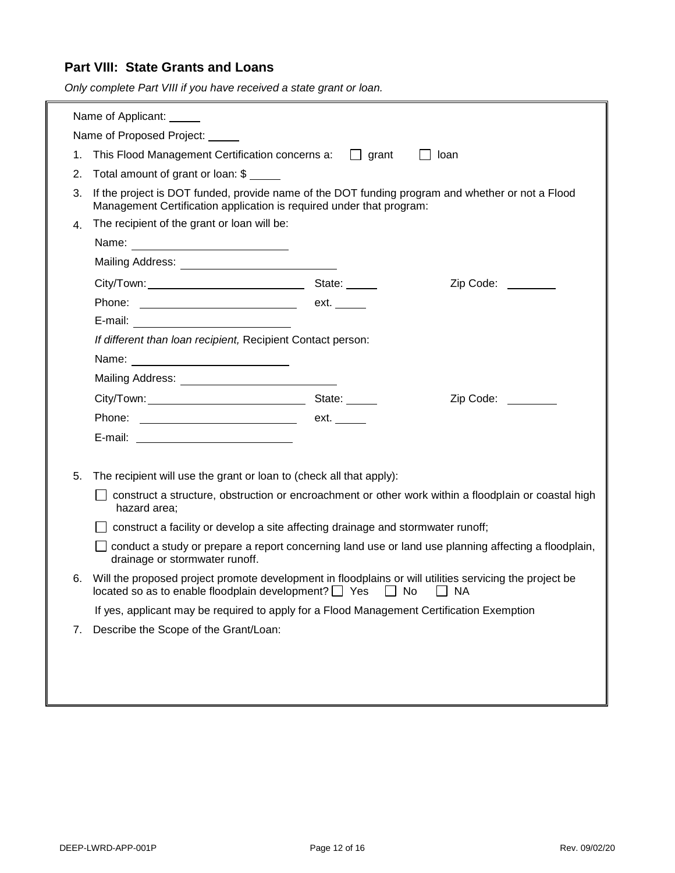#### <span id="page-11-0"></span>**Part VIII: State Grants and Loans**

*Only complete Part VIII if you have received a state grant or loan.*

| Name of Applicant: ______                                                                                                              |                                                                                                                                                                          |                                                                                                                                                                                          |                    |  |  |
|----------------------------------------------------------------------------------------------------------------------------------------|--------------------------------------------------------------------------------------------------------------------------------------------------------------------------|------------------------------------------------------------------------------------------------------------------------------------------------------------------------------------------|--------------------|--|--|
|                                                                                                                                        | Name of Proposed Project:                                                                                                                                                |                                                                                                                                                                                          |                    |  |  |
| 1.                                                                                                                                     | This Flood Management Certification concerns a: J grant<br>loan                                                                                                          |                                                                                                                                                                                          |                    |  |  |
| 2.                                                                                                                                     | Total amount of grant or loan: \$                                                                                                                                        |                                                                                                                                                                                          |                    |  |  |
| 3.                                                                                                                                     | If the project is DOT funded, provide name of the DOT funding program and whether or not a Flood<br>Management Certification application is required under that program: |                                                                                                                                                                                          |                    |  |  |
| 4.                                                                                                                                     | The recipient of the grant or loan will be:                                                                                                                              |                                                                                                                                                                                          |                    |  |  |
|                                                                                                                                        |                                                                                                                                                                          |                                                                                                                                                                                          |                    |  |  |
|                                                                                                                                        | Mailing Address: National Address And Address Address And Address Address And Address And Address And Address                                                            |                                                                                                                                                                                          |                    |  |  |
|                                                                                                                                        |                                                                                                                                                                          |                                                                                                                                                                                          | Zip Code: ________ |  |  |
|                                                                                                                                        |                                                                                                                                                                          | ext.                                                                                                                                                                                     |                    |  |  |
|                                                                                                                                        |                                                                                                                                                                          |                                                                                                                                                                                          |                    |  |  |
|                                                                                                                                        | If different than loan recipient, Recipient Contact person:                                                                                                              |                                                                                                                                                                                          |                    |  |  |
|                                                                                                                                        |                                                                                                                                                                          |                                                                                                                                                                                          |                    |  |  |
|                                                                                                                                        |                                                                                                                                                                          |                                                                                                                                                                                          |                    |  |  |
|                                                                                                                                        |                                                                                                                                                                          |                                                                                                                                                                                          | Zip Code:          |  |  |
|                                                                                                                                        |                                                                                                                                                                          | ext. $\_\_$                                                                                                                                                                              |                    |  |  |
|                                                                                                                                        |                                                                                                                                                                          |                                                                                                                                                                                          |                    |  |  |
|                                                                                                                                        |                                                                                                                                                                          |                                                                                                                                                                                          |                    |  |  |
| 5.                                                                                                                                     | The recipient will use the grant or loan to (check all that apply):                                                                                                      |                                                                                                                                                                                          |                    |  |  |
| construct a structure, obstruction or encroachment or other work within a floodplain or coastal high<br>hazard area;                   |                                                                                                                                                                          |                                                                                                                                                                                          |                    |  |  |
|                                                                                                                                        | construct a facility or develop a site affecting drainage and stormwater runoff;                                                                                         |                                                                                                                                                                                          |                    |  |  |
| conduct a study or prepare a report concerning land use or land use planning affecting a floodplain,<br>drainage or stormwater runoff. |                                                                                                                                                                          |                                                                                                                                                                                          |                    |  |  |
| 6.                                                                                                                                     |                                                                                                                                                                          | Will the proposed project promote development in floodplains or will utilities servicing the project be<br>located so as to enable floodplain development? $\Box$ Yes<br>$\Box$ No<br>NA |                    |  |  |
|                                                                                                                                        | If yes, applicant may be required to apply for a Flood Management Certification Exemption                                                                                |                                                                                                                                                                                          |                    |  |  |
| 7.                                                                                                                                     | Describe the Scope of the Grant/Loan:                                                                                                                                    |                                                                                                                                                                                          |                    |  |  |
|                                                                                                                                        |                                                                                                                                                                          |                                                                                                                                                                                          |                    |  |  |
|                                                                                                                                        |                                                                                                                                                                          |                                                                                                                                                                                          |                    |  |  |
|                                                                                                                                        |                                                                                                                                                                          |                                                                                                                                                                                          |                    |  |  |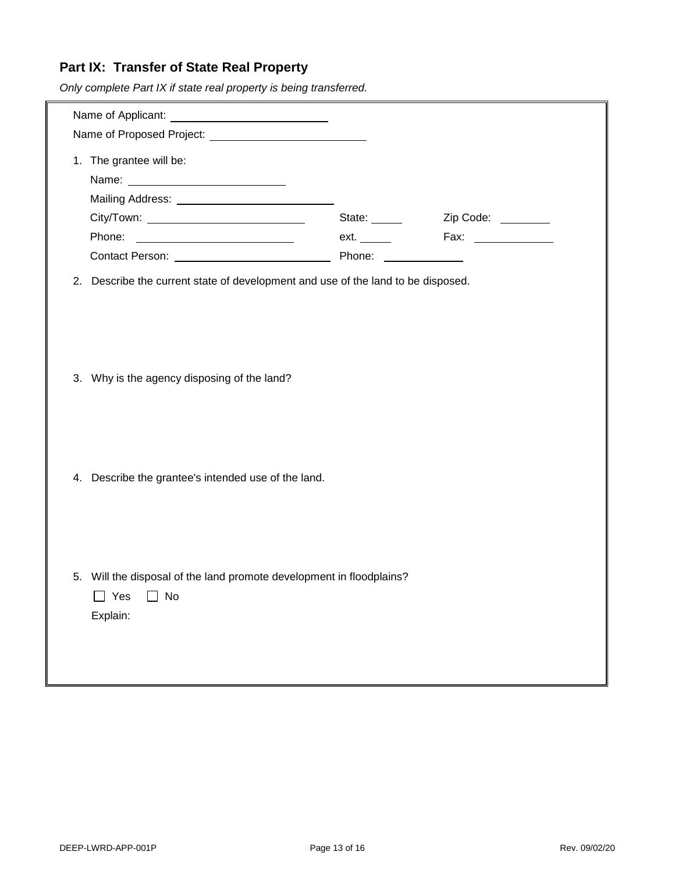### <span id="page-12-0"></span>**Part IX: Transfer of State Real Property**

*Only complete Part IX if state real property is being transferred.*

| 1. The grantee will be:                                                                                  | State: | Zip Code: _______ |  |  |
|----------------------------------------------------------------------------------------------------------|--------|-------------------|--|--|
| 2. Describe the current state of development and use of the land to be disposed.                         |        |                   |  |  |
| 3. Why is the agency disposing of the land?                                                              |        |                   |  |  |
| 4. Describe the grantee's intended use of the land.                                                      |        |                   |  |  |
|                                                                                                          |        |                   |  |  |
| 5. Will the disposal of the land promote development in floodplains?<br>$\Box$ Yes $\Box$ No<br>Explain: |        |                   |  |  |
|                                                                                                          |        |                   |  |  |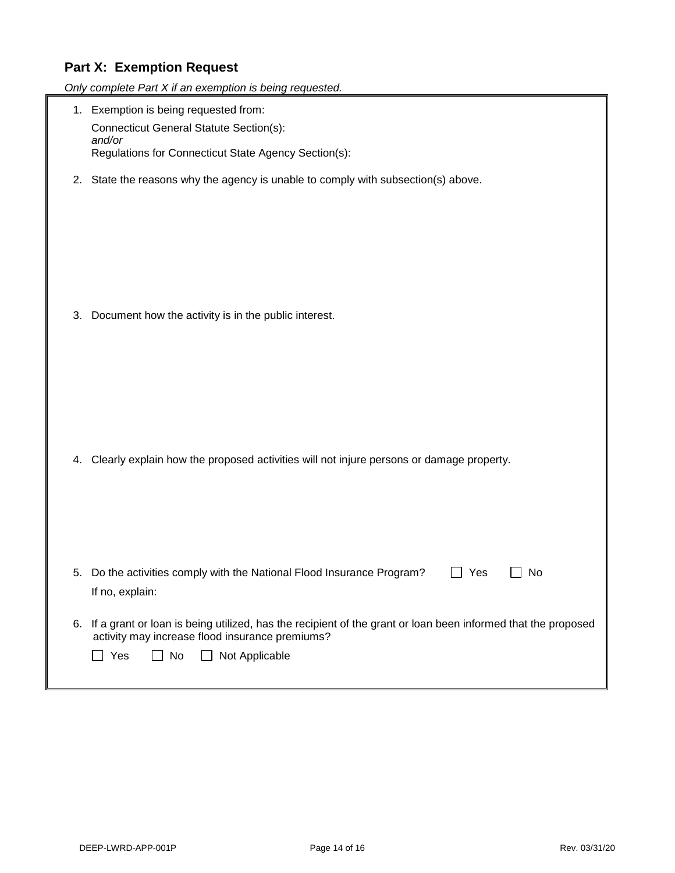### <span id="page-13-0"></span>**Part X: Exemption Request**

|    | Only complete Part X if an exemption is being requested.                                                                                                                                                         |  |  |
|----|------------------------------------------------------------------------------------------------------------------------------------------------------------------------------------------------------------------|--|--|
|    | 1. Exemption is being requested from:<br><b>Connecticut General Statute Section(s):</b><br>and/or<br>Regulations for Connecticut State Agency Section(s):                                                        |  |  |
|    |                                                                                                                                                                                                                  |  |  |
| 2. | State the reasons why the agency is unable to comply with subsection(s) above.                                                                                                                                   |  |  |
| 3. | Document how the activity is in the public interest.                                                                                                                                                             |  |  |
| 4. | Clearly explain how the proposed activities will not injure persons or damage property.                                                                                                                          |  |  |
| 5. | Do the activities comply with the National Flood Insurance Program?<br>Yes<br>No<br>If no, explain:                                                                                                              |  |  |
| 6. | If a grant or loan is being utilized, has the recipient of the grant or loan been informed that the proposed<br>activity may increase flood insurance premiums?<br>No<br>Not Applicable<br>Yes<br>$\blacksquare$ |  |  |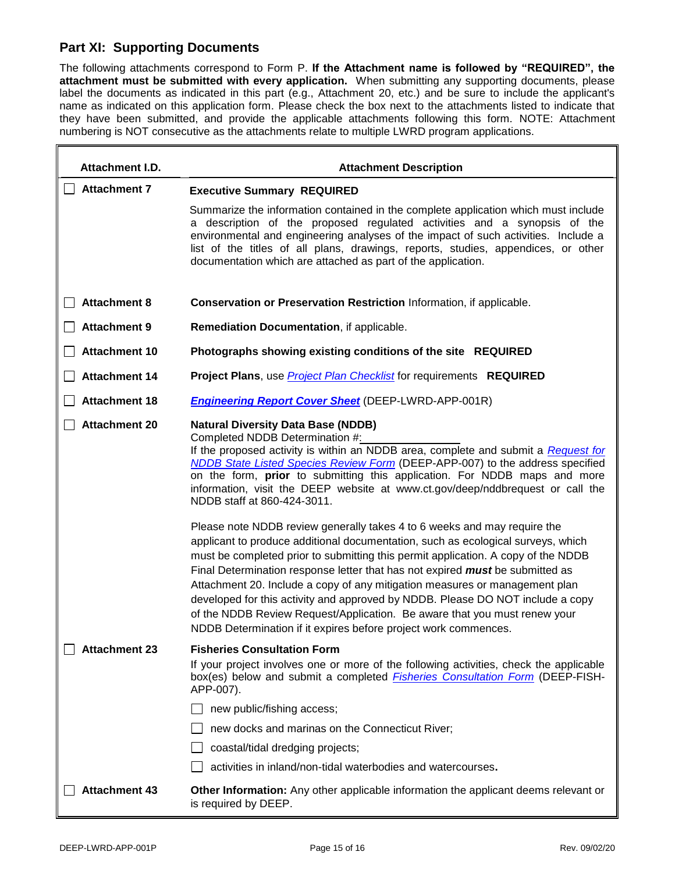#### <span id="page-14-0"></span>**Part XI: Supporting Documents**

The following attachments correspond to Form P. **If the Attachment name is followed by "REQUIRED", the attachment must be submitted with every application.** When submitting any supporting documents, please label the documents as indicated in this part (e.g., Attachment 20, etc.) and be sure to include the applicant's name as indicated on this application form. Please check the box next to the attachments listed to indicate that they have been submitted, and provide the applicable attachments following this form. NOTE: Attachment numbering is NOT consecutive as the attachments relate to multiple LWRD program applications.

| Attachment I.D.      | <b>Attachment Description</b>                                                                                                                                                                                                                                                                                                                                                                                                                                                                                                                                                                                            |  |  |
|----------------------|--------------------------------------------------------------------------------------------------------------------------------------------------------------------------------------------------------------------------------------------------------------------------------------------------------------------------------------------------------------------------------------------------------------------------------------------------------------------------------------------------------------------------------------------------------------------------------------------------------------------------|--|--|
| <b>Attachment 7</b>  | <b>Executive Summary REQUIRED</b>                                                                                                                                                                                                                                                                                                                                                                                                                                                                                                                                                                                        |  |  |
|                      | Summarize the information contained in the complete application which must include<br>a description of the proposed regulated activities and a synopsis of the<br>environmental and engineering analyses of the impact of such activities. Include a<br>list of the titles of all plans, drawings, reports, studies, appendices, or other<br>documentation which are attached as part of the application.                                                                                                                                                                                                                |  |  |
| <b>Attachment 8</b>  | Conservation or Preservation Restriction Information, if applicable.                                                                                                                                                                                                                                                                                                                                                                                                                                                                                                                                                     |  |  |
| <b>Attachment 9</b>  | Remediation Documentation, if applicable.                                                                                                                                                                                                                                                                                                                                                                                                                                                                                                                                                                                |  |  |
| <b>Attachment 10</b> | Photographs showing existing conditions of the site REQUIRED                                                                                                                                                                                                                                                                                                                                                                                                                                                                                                                                                             |  |  |
| <b>Attachment 14</b> | <b>Project Plans, use Project Plan Checklist for requirements REQUIRED</b>                                                                                                                                                                                                                                                                                                                                                                                                                                                                                                                                               |  |  |
| <b>Attachment 18</b> | <b>Engineering Report Cover Sheet (DEEP-LWRD-APP-001R)</b>                                                                                                                                                                                                                                                                                                                                                                                                                                                                                                                                                               |  |  |
| <b>Attachment 20</b> | <b>Natural Diversity Data Base (NDDB)</b><br>Completed NDDB Determination #:<br>If the proposed activity is within an NDDB area, complete and submit a Request for<br>NDDB State Listed Species Review Form (DEEP-APP-007) to the address specified<br>on the form, <b>prior</b> to submitting this application. For NDDB maps and more<br>information, visit the DEEP website at www.ct.gov/deep/nddbrequest or call the<br>NDDB staff at 860-424-3011.<br>Please note NDDB review generally takes 4 to 6 weeks and may require the<br>applicant to produce additional documentation, such as ecological surveys, which |  |  |
|                      | must be completed prior to submitting this permit application. A copy of the NDDB<br>Final Determination response letter that has not expired <i>must</i> be submitted as<br>Attachment 20. Include a copy of any mitigation measures or management plan<br>developed for this activity and approved by NDDB. Please DO NOT include a copy<br>of the NDDB Review Request/Application. Be aware that you must renew your<br>NDDB Determination if it expires before project work commences.                                                                                                                               |  |  |
| <b>Attachment 23</b> | <b>Fisheries Consultation Form</b>                                                                                                                                                                                                                                                                                                                                                                                                                                                                                                                                                                                       |  |  |
|                      | If your project involves one or more of the following activities, check the applicable<br>box(es) below and submit a completed <b>Fisheries Consultation Form</b> (DEEP-FISH-<br>APP-007).                                                                                                                                                                                                                                                                                                                                                                                                                               |  |  |
|                      | new public/fishing access;                                                                                                                                                                                                                                                                                                                                                                                                                                                                                                                                                                                               |  |  |
|                      | new docks and marinas on the Connecticut River;                                                                                                                                                                                                                                                                                                                                                                                                                                                                                                                                                                          |  |  |
|                      | coastal/tidal dredging projects;                                                                                                                                                                                                                                                                                                                                                                                                                                                                                                                                                                                         |  |  |
|                      | activities in inland/non-tidal waterbodies and watercourses.                                                                                                                                                                                                                                                                                                                                                                                                                                                                                                                                                             |  |  |
| <b>Attachment 43</b> | <b>Other Information:</b> Any other applicable information the applicant deems relevant or<br>is required by DEEP.                                                                                                                                                                                                                                                                                                                                                                                                                                                                                                       |  |  |

1